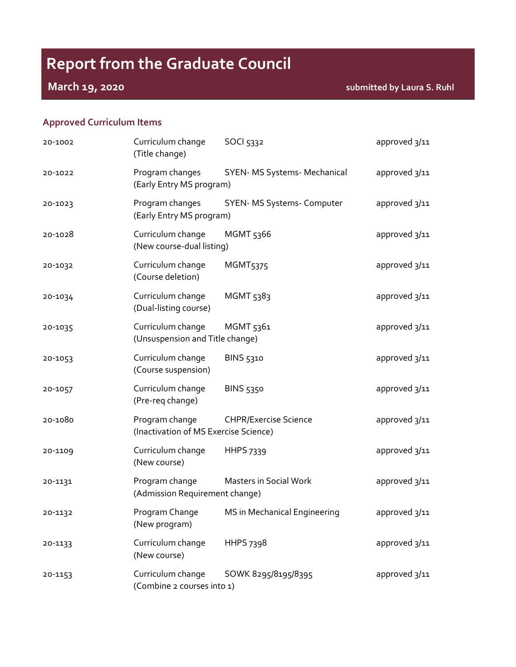# **Report from the Graduate Council**

**March 19, 2020 submitted by Laura S. Ruhl**

# **Approved Curriculum Items**

| 20-1002 | Curriculum change<br>(Title change)                     | SOCI 5332                    | approved 3/11 |
|---------|---------------------------------------------------------|------------------------------|---------------|
| 20-1022 | Program changes<br>(Early Entry MS program)             | SYEN- MS Systems- Mechanical | approved 3/11 |
| 20-1023 | Program changes<br>(Early Entry MS program)             | SYEN-MS Systems- Computer    | approved 3/11 |
| 20-1028 | Curriculum change<br>(New course-dual listing)          | MGMT 5366                    | approved 3/11 |
| 20-1032 | Curriculum change<br>(Course deletion)                  | <b>MGMT5375</b>              | approved 3/11 |
| 20-1034 | Curriculum change<br>(Dual-listing course)              | MGMT 5383                    | approved 3/11 |
| 20-1035 | Curriculum change<br>(Unsuspension and Title change)    | MGMT 5361                    | approved 3/11 |
| 20-1053 | Curriculum change<br>(Course suspension)                | BINS 5310                    | approved 3/11 |
| 20-1057 | Curriculum change<br>(Pre-req change)                   | <b>BINS 5350</b>             | approved 3/11 |
| 20-1080 | Program change<br>(Inactivation of MS Exercise Science) | <b>CHPR/Exercise Science</b> | approved 3/11 |
| 20-1109 | Curriculum change<br>(New course)                       | HHPS 7339                    | approved 3/11 |
| 20-1131 | Program change<br>(Admission Requirement change)        | Masters in Social Work       | approved 3/11 |
| 20-1132 | Program Change<br>(New program)                         | MS in Mechanical Engineering | approved 3/11 |
| 20-1133 | Curriculum change<br>(New course)                       | HHPS 7398                    | approved 3/11 |
| 20-1153 | Curriculum change<br>(Combine 2 courses into 1)         | SOWK 8295/8195/8395          | approved 3/11 |